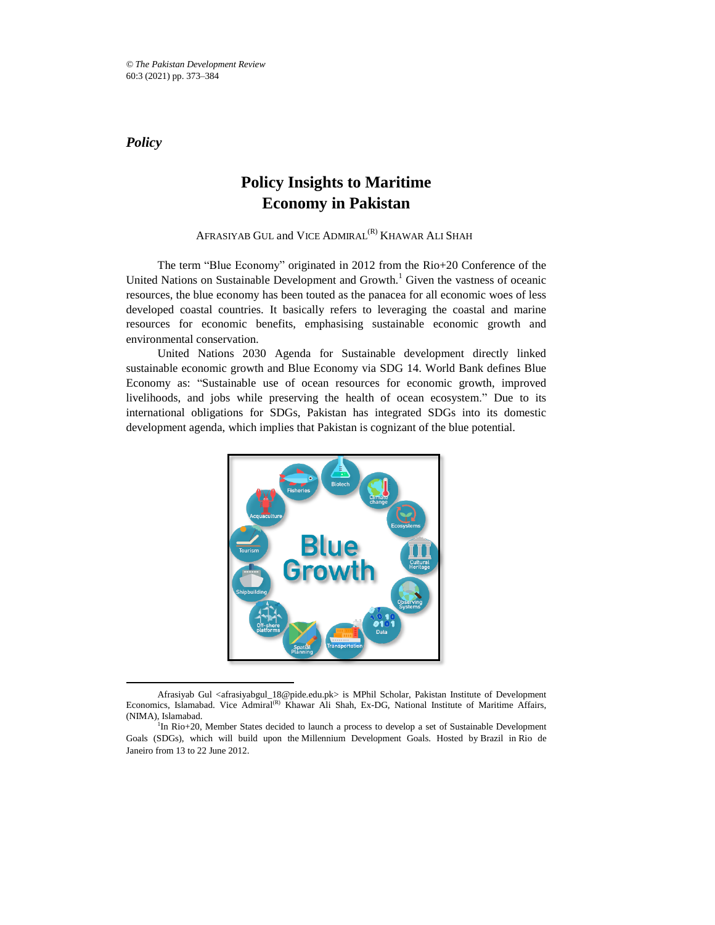*Policy*

 $\overline{\phantom{a}}$ 

# **Policy Insights to Maritime Economy in Pakistan**

# AFRASIYAB GUL and VICE ADMIRAL<sup>(R)</sup> KHAWAR ALI SHAH

The term "Blue Economy" originated in 2012 from the Rio+20 Conference of the United Nations on Sustainable Development and Growth.<sup>1</sup> Given the vastness of oceanic resources, the blue economy has been touted as the panacea for all economic woes of less developed coastal countries. It basically refers to leveraging the coastal and marine resources for economic benefits, emphasising sustainable economic growth and environmental conservation.

United Nations 2030 Agenda for Sustainable development directly linked sustainable economic growth and Blue Economy via SDG 14. World Bank defines Blue Economy as: "Sustainable use of ocean resources for economic growth, improved livelihoods, and jobs while preserving the health of ocean ecosystem." Due to its international obligations for SDGs, Pakistan has integrated SDGs into its domestic development agenda, which implies that Pakistan is cognizant of the blue potential.



Afrasiyab Gul <afrasiyabgul 18@pide.edu.pk> is MPhil Scholar, Pakistan Institute of Development Economics, Islamabad. Vice Admiral<sup>(R)</sup> Khawar Ali Shah, Ex-DG, National Institute of Maritime Affairs, (NIMA), Islamabad.

<sup>&</sup>lt;sup>1</sup>In Rio+20, Member States decided to launch a process to develop a set of Sustainable Development Goals (SDGs), which will build upon the Millennium Development Goals. Hosted by Brazil in Rio de Janeiro from 13 to 22 June 2012.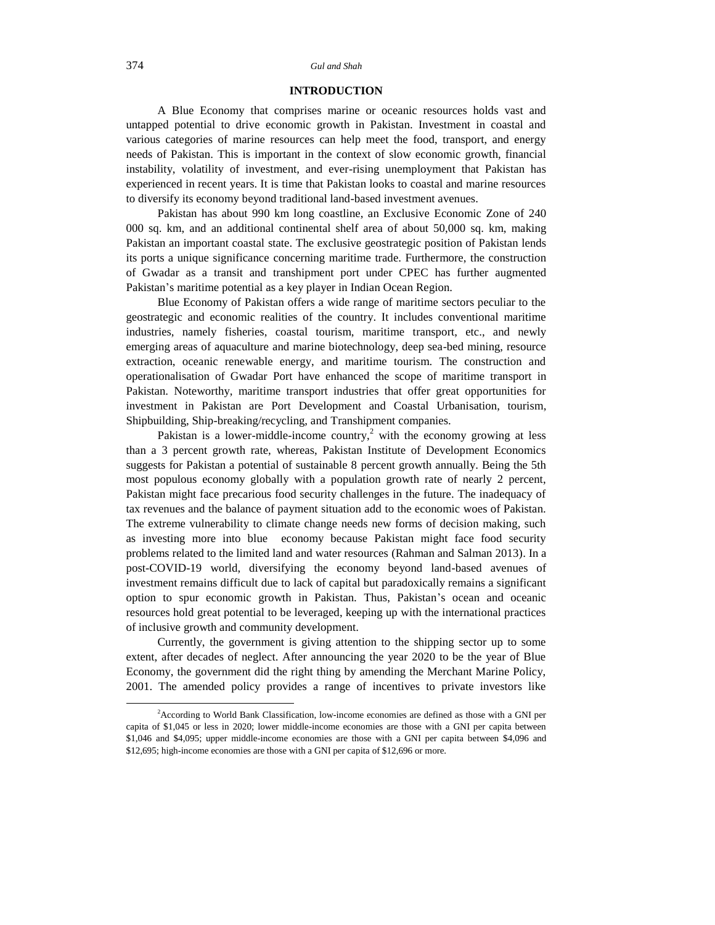#### 374 *Gul and Shah*

# **INTRODUCTION**

A Blue Economy that comprises marine or oceanic resources holds vast and untapped potential to drive economic growth in Pakistan. Investment in coastal and various categories of marine resources can help meet the food, transport, and energy needs of Pakistan. This is important in the context of slow economic growth, financial instability, volatility of investment, and ever-rising unemployment that Pakistan has experienced in recent years. It is time that Pakistan looks to coastal and marine resources to diversify its economy beyond traditional land-based investment avenues.

Pakistan has about 990 km long coastline, an Exclusive Economic Zone of 240 000 sq. km, and an additional continental shelf area of about 50,000 sq. km, making Pakistan an important coastal state. The exclusive geostrategic position of Pakistan lends its ports a unique significance concerning maritime trade. Furthermore, the construction of Gwadar as a transit and transhipment port under CPEC has further augmented Pakistan's maritime potential as a key player in Indian Ocean Region.

Blue Economy of Pakistan offers a wide range of maritime sectors peculiar to the geostrategic and economic realities of the country. It includes conventional maritime industries, namely fisheries, coastal tourism, maritime transport, etc., and newly emerging areas of aquaculture and marine biotechnology, deep sea-bed mining, resource extraction, oceanic renewable energy, and maritime tourism. The construction and operationalisation of Gwadar Port have enhanced the scope of maritime transport in Pakistan. Noteworthy, maritime transport industries that offer great opportunities for investment in Pakistan are Port Development and Coastal Urbanisation, tourism, Shipbuilding, Ship-breaking/recycling, and Transhipment companies.

Pakistan is a lower-middle-income country,<sup>2</sup> with the economy growing at less than a 3 percent growth rate, whereas, Pakistan Institute of Development Economics suggests for Pakistan a potential of sustainable 8 percent growth annually. Being the 5th most populous economy globally with a population growth rate of nearly 2 percent, Pakistan might face precarious food security challenges in the future. The inadequacy of tax revenues and the balance of payment situation add to the economic woes of Pakistan. The extreme vulnerability to climate change needs new forms of decision making, such as investing more into blue economy because Pakistan might face food security problems related to the limited land and water resources (Rahman and Salman 2013). In a post-COVID-19 world, diversifying the economy beyond land-based avenues of investment remains difficult due to lack of capital but paradoxically remains a significant option to spur economic growth in Pakistan. Thus, Pakistan's ocean and oceanic resources hold great potential to be leveraged, keeping up with the international practices of inclusive growth and community development.

Currently, the government is giving attention to the shipping sector up to some extent, after decades of neglect. After announcing the year 2020 to be the year of Blue Economy, the government did the right thing by amending the Merchant Marine Policy, 2001. The amended policy provides a range of incentives to private investors like

l

<sup>2</sup>According to World Bank Classification, low-income economies are defined as those with a GNI per capita of \$1,045 or less in 2020; lower middle-income economies are those with a GNI per capita between \$1,046 and \$4,095; upper middle-income economies are those with a GNI per capita between \$4,096 and \$12,695; high-income economies are those with a GNI per capita of \$12,696 or more.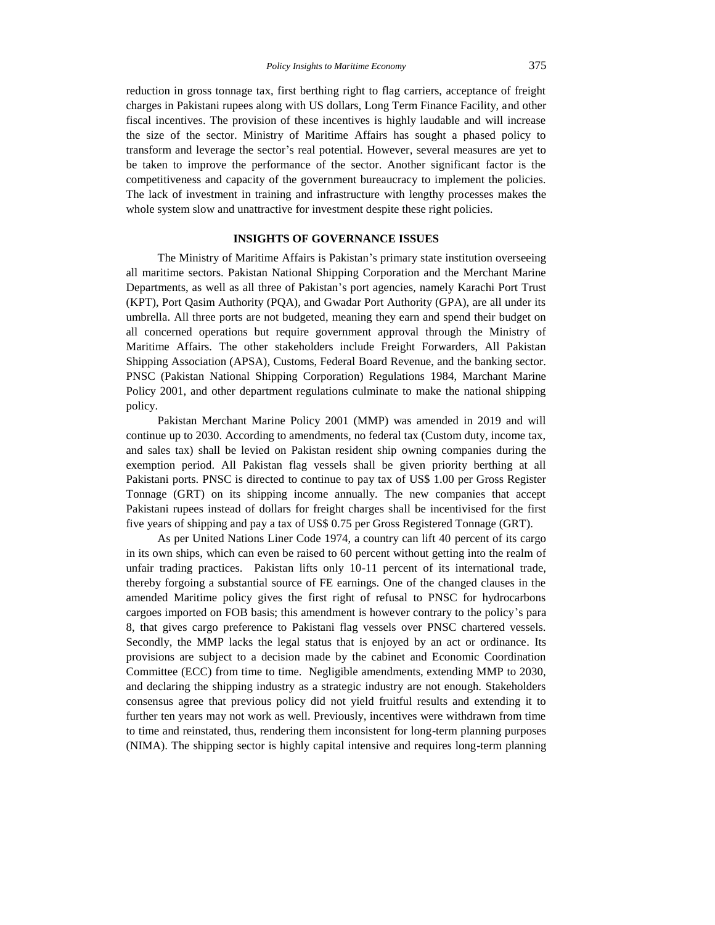reduction in gross tonnage tax, first berthing right to flag carriers, acceptance of freight charges in Pakistani rupees along with US dollars, Long Term Finance Facility, and other fiscal incentives. The provision of these incentives is highly laudable and will increase the size of the sector. Ministry of Maritime Affairs has sought a phased policy to transform and leverage the sector's real potential. However, several measures are yet to be taken to improve the performance of the sector. Another significant factor is the competitiveness and capacity of the government bureaucracy to implement the policies. The lack of investment in training and infrastructure with lengthy processes makes the whole system slow and unattractive for investment despite these right policies.

# **INSIGHTS OF GOVERNANCE ISSUES**

The Ministry of Maritime Affairs is Pakistan's primary state institution overseeing all maritime sectors. Pakistan National Shipping Corporation and the Merchant Marine Departments, as well as all three of Pakistan's port agencies, namely Karachi Port Trust (KPT), Port Qasim Authority (PQA), and Gwadar Port Authority (GPA), are all under its umbrella. All three ports are not budgeted, meaning they earn and spend their budget on all concerned operations but require government approval through the Ministry of Maritime Affairs. The other stakeholders include Freight Forwarders, All Pakistan Shipping Association (APSA), Customs, Federal Board Revenue, and the banking sector. PNSC (Pakistan National Shipping Corporation) Regulations 1984, Marchant Marine Policy 2001, and other department regulations culminate to make the national shipping policy.

Pakistan Merchant Marine Policy 2001 (MMP) was amended in 2019 and will continue up to 2030. According to amendments, no federal tax (Custom duty, income tax, and sales tax) shall be levied on Pakistan resident ship owning companies during the exemption period. All Pakistan flag vessels shall be given priority berthing at all Pakistani ports. PNSC is directed to continue to pay tax of US\$ 1.00 per Gross Register Tonnage (GRT) on its shipping income annually. The new companies that accept Pakistani rupees instead of dollars for freight charges shall be incentivised for the first five years of shipping and pay a tax of US\$ 0.75 per Gross Registered Tonnage (GRT).

As per United Nations Liner Code 1974, a country can lift 40 percent of its cargo in its own ships, which can even be raised to 60 percent without getting into the realm of unfair trading practices. Pakistan lifts only 10-11 percent of its international trade, thereby forgoing a substantial source of FE earnings. One of the changed clauses in the amended Maritime policy gives the first right of refusal to PNSC for hydrocarbons cargoes imported on FOB basis; this amendment is however contrary to the policy's para 8, that gives cargo preference to Pakistani flag vessels over PNSC chartered vessels. Secondly, the MMP lacks the legal status that is enjoyed by an act or ordinance. Its provisions are subject to a decision made by the cabinet and Economic Coordination Committee (ECC) from time to time. Negligible amendments, extending MMP to 2030, and declaring the shipping industry as a strategic industry are not enough. Stakeholders consensus agree that previous policy did not yield fruitful results and extending it to further ten years may not work as well. Previously, incentives were withdrawn from time to time and reinstated, thus, rendering them inconsistent for long-term planning purposes (NIMA). The shipping sector is highly capital intensive and requires long-term planning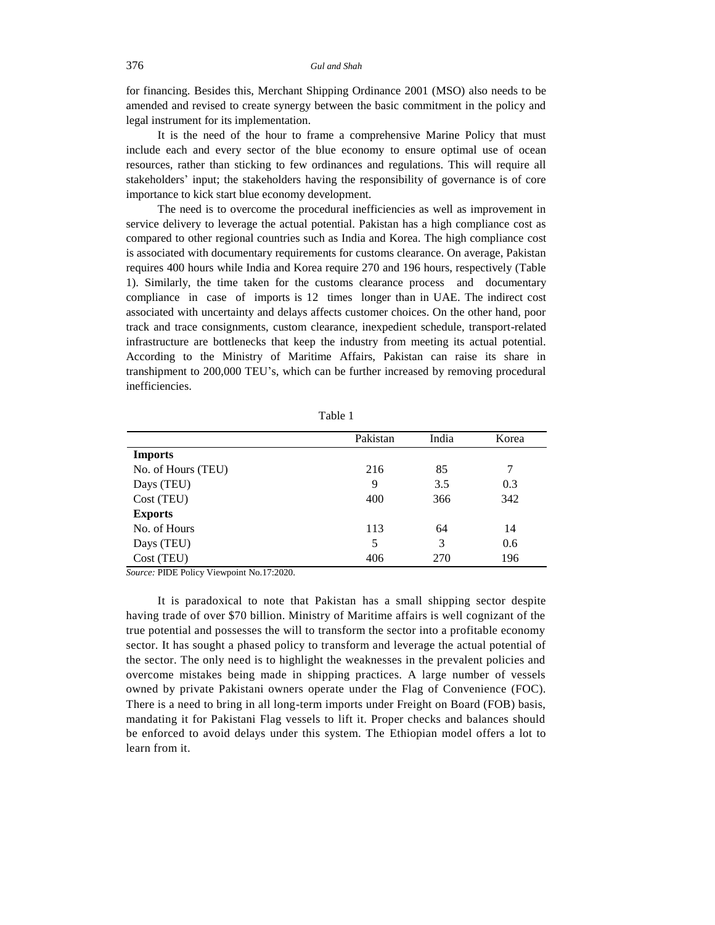for financing. Besides this, Merchant Shipping Ordinance 2001 (MSO) also needs to be amended and revised to create synergy between the basic commitment in the policy and legal instrument for its implementation.

It is the need of the hour to frame a comprehensive Marine Policy that must include each and every sector of the blue economy to ensure optimal use of ocean resources, rather than sticking to few ordinances and regulations. This will require all stakeholders' input; the stakeholders having the responsibility of governance is of core importance to kick start blue economy development.

The need is to overcome the procedural inefficiencies as well as improvement in service delivery to leverage the actual potential. Pakistan has a high compliance cost as compared to other regional countries such as India and Korea. The high compliance cost is associated with documentary requirements for customs clearance. On average, Pakistan requires 400 hours while India and Korea require 270 and 196 hours, respectively (Table 1). Similarly, the time taken for the customs clearance process and documentary compliance in case of imports is 12 times longer than in UAE. The indirect cost associated with uncertainty and delays affects customer choices. On the other hand, poor track and trace consignments, custom clearance, inexpedient schedule, transport-related infrastructure are bottlenecks that keep the industry from meeting its actual potential. According to the Ministry of Maritime Affairs, Pakistan can raise its share in transhipment to 200,000 TEU's, which can be further increased by removing procedural inefficiencies.

|                    | Pakistan | India | Korea |
|--------------------|----------|-------|-------|
| <b>Imports</b>     |          |       |       |
| No. of Hours (TEU) | 216      | 85    | 7     |
| Days (TEU)         | 9        | 3.5   | 0.3   |
| Cost (TEU)         | 400      | 366   | 342   |
| <b>Exports</b>     |          |       |       |
| No. of Hours       | 113      | 64    | 14    |
| Days (TEU)         | 5        | 3     | 0.6   |
| Cost (TEU)         | 406      | 270   | 196   |

Table 1

*Source:* PIDE Policy Viewpoint No.17:2020.

It is paradoxical to note that Pakistan has a small shipping sector despite having trade of over \$70 billion. Ministry of Maritime affairs is well cognizant of the true potential and possesses the will to transform the sector into a profitable economy sector. It has sought a phased policy to transform and leverage the actual potential of the sector. The only need is to highlight the weaknesses in the prevalent policies and overcome mistakes being made in shipping practices. A large number of vessels owned by private Pakistani owners operate under the Flag of Convenience (FOC). There is a need to bring in all long-term imports under Freight on Board (FOB) basis, mandating it for Pakistani Flag vessels to lift it. Proper checks and balances should be enforced to avoid delays under this system. The Ethiopian model offers a lot to learn from it.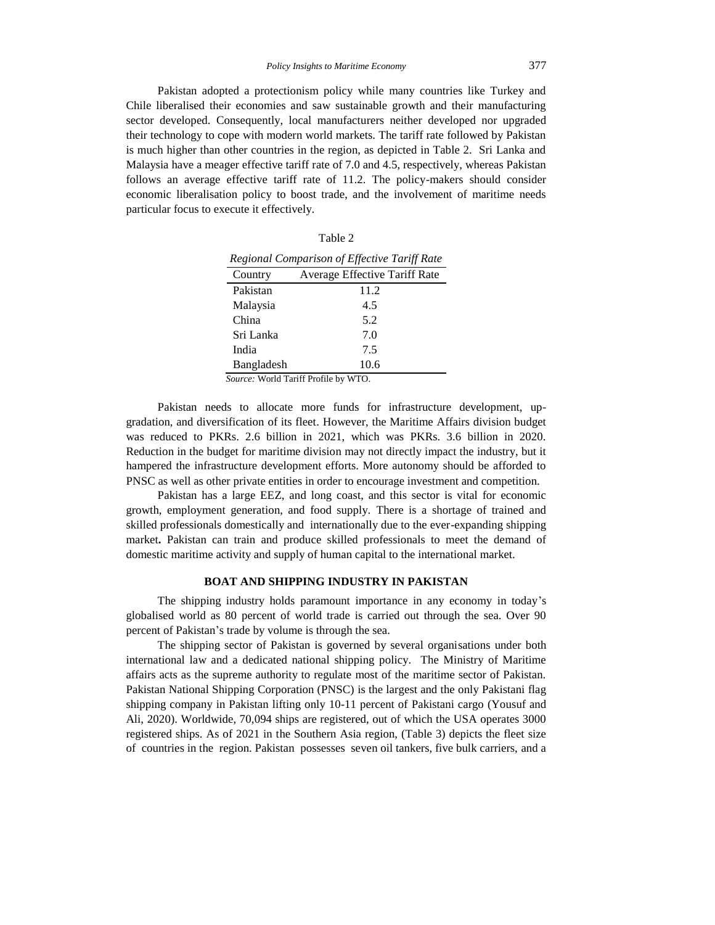Pakistan adopted a protectionism policy while many countries like Turkey and Chile liberalised their economies and saw sustainable growth and their manufacturing sector developed. Consequently, local manufacturers neither developed nor upgraded their technology to cope with modern world markets. The tariff rate followed by Pakistan is much higher than other countries in the region, as depicted in Table 2. Sri Lanka and Malaysia have a meager effective tariff rate of 7.0 and 4.5, respectively, whereas Pakistan follows an average effective tariff rate of 11.2. The policy-makers should consider economic liberalisation policy to boost trade, and the involvement of maritime needs particular focus to execute it effectively.

| Regional Comparison of Effective Tariff Rate |                                                                       |  |  |  |
|----------------------------------------------|-----------------------------------------------------------------------|--|--|--|
| Country                                      | Average Effective Tariff Rate                                         |  |  |  |
| Pakistan                                     | 11.2                                                                  |  |  |  |
| Malaysia                                     | 4.5                                                                   |  |  |  |
| China                                        | 5.2                                                                   |  |  |  |
| Sri Lanka                                    | 7.0                                                                   |  |  |  |
| India                                        | 7.5                                                                   |  |  |  |
| Bangladesh                                   | 10.6                                                                  |  |  |  |
|                                              | $\mathbb{F}_{\alpha_1,\alpha_2,\alpha_3}$ Weald Teacht Daof to by WTO |  |  |  |

Table 2

*Source:* World Tariff Profile by WTO.

Pakistan needs to allocate more funds for infrastructure development, upgradation, and diversification of its fleet. However, the Maritime Affairs division budget was reduced to PKRs. 2.6 billion in 2021, which was PKRs. 3.6 billion in 2020. Reduction in the budget for maritime division may not directly impact the industry, but it hampered the infrastructure development efforts. More autonomy should be afforded to PNSC as well as other private entities in order to encourage investment and competition.

Pakistan has a large EEZ, and long coast, and this sector is vital for economic growth, employment generation, and food supply. There is a shortage of trained and skilled professionals domestically and internationally due to the ever-expanding shipping market**.** Pakistan can train and produce skilled professionals to meet the demand of domestic maritime activity and supply of human capital to the international market.

# **BOAT AND SHIPPING INDUSTRY IN PAKISTAN**

The shipping industry holds paramount importance in any economy in today's globalised world as 80 percent of world trade is carried out through the sea. Over 90 percent of Pakistan's trade by volume is through the sea.

The shipping sector of Pakistan is governed by several organisations under both international law and a dedicated national shipping policy. The Ministry of Maritime affairs acts as the supreme authority to regulate most of the maritime sector of Pakistan. Pakistan National Shipping Corporation (PNSC) is the largest and the only Pakistani flag shipping company in Pakistan lifting only 10-11 percent of Pakistani cargo (Yousuf and Ali, 2020). Worldwide, 70,094 ships are registered, out of which the USA operates 3000 registered ships. As of 2021 in the Southern Asia region, (Table 3) depicts the fleet size of countries in the region. Pakistan possesses seven oil tankers, five bulk carriers, and a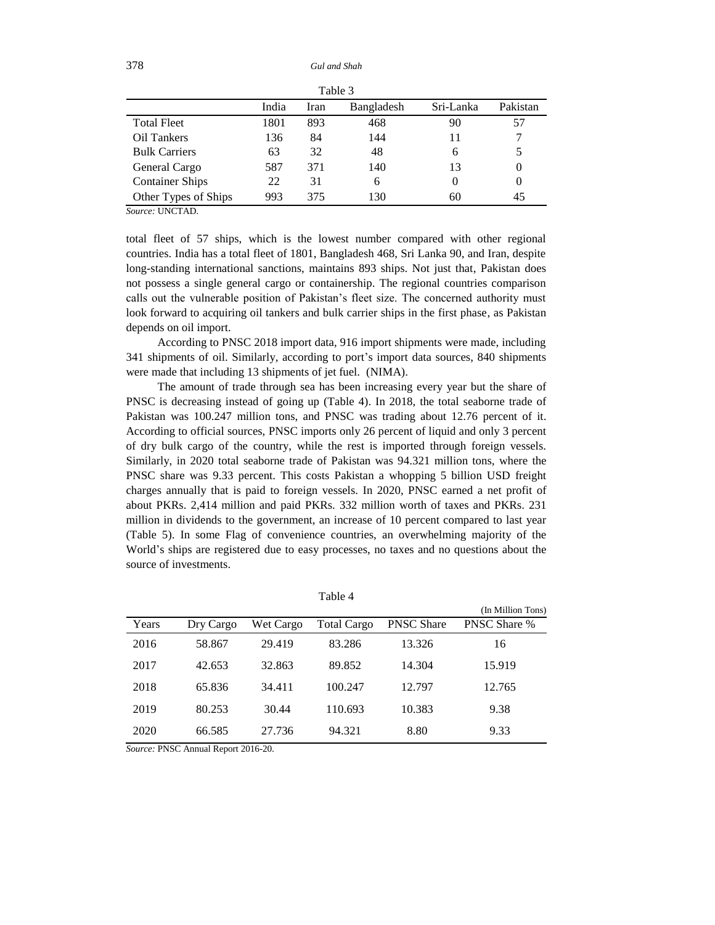378 *Gul and Shah*

| Table 3                |       |      |            |           |          |
|------------------------|-------|------|------------|-----------|----------|
|                        | India | Iran | Bangladesh | Sri-Lanka | Pakistan |
| <b>Total Fleet</b>     | 1801  | 893  | 468        | 90        | 57       |
| Oil Tankers            | 136   | 84   | 144        | 11        |          |
| <b>Bulk Carriers</b>   | 63    | 32   | 48         | 6         | 5        |
| General Cargo          | 587   | 371  | 140        | 13        | $\theta$ |
| <b>Container Ships</b> | 22    | 31   | 6          | $\theta$  | $\theta$ |
| Other Types of Ships   | 993   | 375  | 130        | 60        | 45       |

*Source:* UNCTAD.

total fleet of 57 ships, which is the lowest number compared with other regional countries. India has a total fleet of 1801, Bangladesh 468, Sri Lanka 90, and Iran, despite long-standing international sanctions, maintains 893 ships. Not just that, Pakistan does not possess a single general cargo or containership. The regional countries comparison calls out the vulnerable position of Pakistan's fleet size. The concerned authority must look forward to acquiring oil tankers and bulk carrier ships in the first phase, as Pakistan depends on oil import.

According to PNSC 2018 import data, 916 import shipments were made, including 341 shipments of oil. Similarly, according to port's import data sources, 840 shipments were made that including 13 shipments of jet fuel. (NIMA).

The amount of trade through sea has been increasing every year but the share of PNSC is decreasing instead of going up (Table 4). In 2018, the total seaborne trade of Pakistan was 100.247 million tons, and PNSC was trading about 12.76 percent of it. According to official sources, PNSC imports only 26 percent of liquid and only 3 percent of dry bulk cargo of the country, while the rest is imported through foreign vessels. Similarly, in 2020 total seaborne trade of Pakistan was 94.321 million tons, where the PNSC share was 9.33 percent. This costs Pakistan a whopping 5 billion USD freight charges annually that is paid to foreign vessels. In 2020, PNSC earned a net profit of about PKRs. 2,414 million and paid PKRs. 332 million worth of taxes and PKRs. 231 million in dividends to the government, an increase of 10 percent compared to last year (Table 5). In some Flag of convenience countries, an overwhelming majority of the World's ships are registered due to easy processes, no taxes and no questions about the source of investments.

| ١<br>г<br>г. |  |
|--------------|--|
|--------------|--|

|       |           |           |             |                   | (In Million Tons)   |
|-------|-----------|-----------|-------------|-------------------|---------------------|
| Years | Dry Cargo | Wet Cargo | Total Cargo | <b>PNSC Share</b> | <b>PNSC Share %</b> |
| 2016  | 58.867    | 29.419    | 83.286      | 13.326            | 16                  |
| 2017  | 42.653    | 32.863    | 89.852      | 14.304            | 15.919              |
| 2018  | 65.836    | 34.411    | 100.247     | 12.797            | 12.765              |
| 2019  | 80.253    | 30.44     | 110.693     | 10.383            | 9.38                |
| 2020  | 66.585    | 27.736    | 94.321      | 8.80              | 9.33                |

*Source:* PNSC Annual Report 2016-20.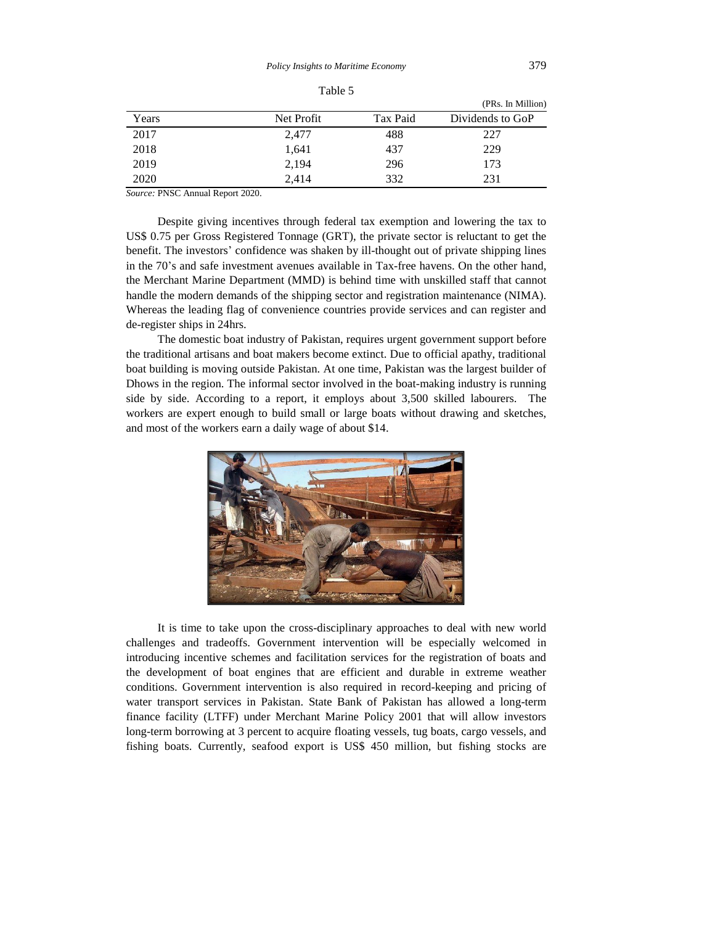|       |            |          | (PRs. In Million) |
|-------|------------|----------|-------------------|
| Years | Net Profit | Tax Paid | Dividends to GoP  |
| 2017  | 2,477      | 488      | 227               |
| 2018  | 1,641      | 437      | 229               |
| 2019  | 2,194      | 296      | 173               |
| 2020  | 2.414      | 332      | 231               |

Table 5

*Source:* PNSC Annual Report 2020.

Despite giving incentives through federal tax exemption and lowering the tax to US\$ 0.75 per Gross Registered Tonnage (GRT), the private sector is reluctant to get the benefit. The investors' confidence was shaken by ill-thought out of private shipping lines in the 70's and safe investment avenues available in Tax-free havens. On the other hand, the Merchant Marine Department (MMD) is behind time with unskilled staff that cannot handle the modern demands of the shipping sector and registration maintenance (NIMA). Whereas the leading flag of convenience countries provide services and can register and de-register ships in 24hrs.

The domestic boat industry of Pakistan, requires urgent government support before the traditional artisans and boat makers become extinct. Due to official apathy, traditional boat building is moving outside Pakistan. At one time, Pakistan was the largest builder of Dhows in the region. The informal sector involved in the boat-making industry is running side by side. According to a report, it employs about 3,500 skilled labourers. The workers are expert enough to build small or large boats without drawing and sketches, and most of the workers earn a daily wage of about \$14.



It is time to take upon the cross-disciplinary approaches to deal with new world challenges and tradeoffs. Government intervention will be especially welcomed in introducing incentive schemes and facilitation services for the registration of boats and the development of boat engines that are efficient and durable in extreme weather conditions. Government intervention is also required in record-keeping and pricing of water transport services in Pakistan. State Bank of Pakistan has allowed a long-term finance facility (LTFF) under Merchant Marine Policy 2001 that will allow investors long-term borrowing at 3 percent to acquire floating vessels, tug boats, cargo vessels, and fishing boats. Currently, seafood export is US\$ 450 million, but fishing stocks are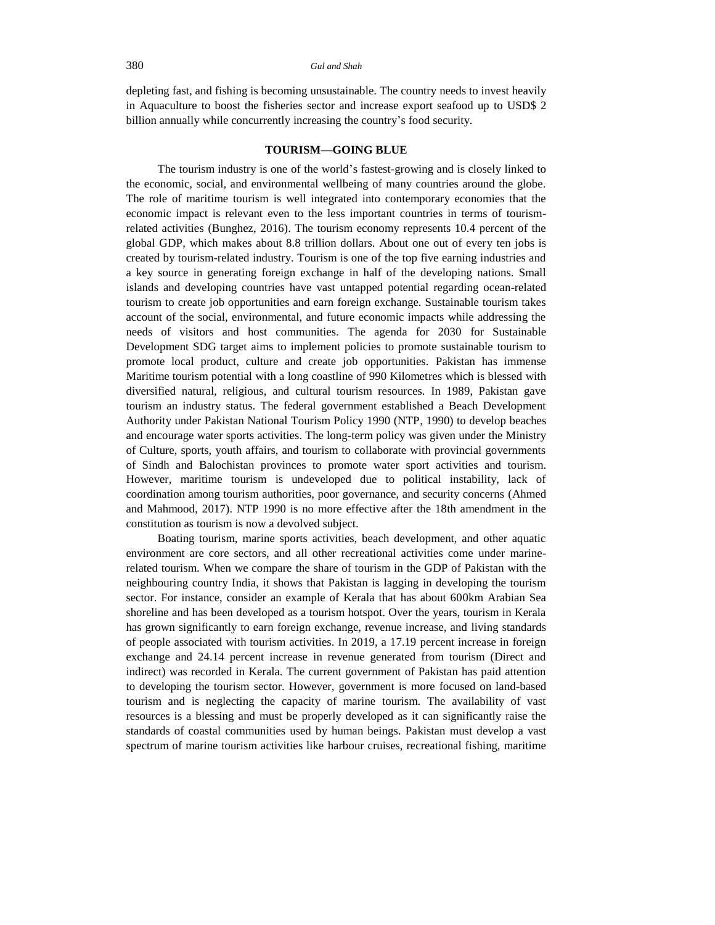depleting fast, and fishing is becoming unsustainable. The country needs to invest heavily in Aquaculture to boost the fisheries sector and increase export seafood up to USD\$ 2 billion annually while concurrently increasing the country's food security.

#### **TOURISM—GOING BLUE**

The tourism industry is one of the world's fastest-growing and is closely linked to the economic, social, and environmental wellbeing of many countries around the globe. The role of maritime tourism is well integrated into contemporary economies that the economic impact is relevant even to the less important countries in terms of tourismrelated activities (Bunghez, 2016). The tourism economy represents 10.4 percent of the global GDP, which makes about 8.8 trillion dollars. About one out of every ten jobs is created by tourism-related industry. Tourism is one of the top five earning industries and a key source in generating foreign exchange in half of the developing nations. Small islands and developing countries have vast untapped potential regarding ocean-related tourism to create job opportunities and earn foreign exchange. Sustainable tourism takes account of the social, environmental, and future economic impacts while addressing the needs of visitors and host communities. The agenda for 2030 for Sustainable Development SDG target aims to implement policies to promote sustainable tourism to promote local product, culture and create job opportunities. Pakistan has immense Maritime tourism potential with a long coastline of 990 Kilometres which is blessed with diversified natural, religious, and cultural tourism resources. In 1989, Pakistan gave tourism an industry status. The federal government established a Beach Development Authority under Pakistan National Tourism Policy 1990 (NTP, 1990) to develop beaches and encourage water sports activities. The long-term policy was given under the Ministry of Culture, sports, youth affairs, and tourism to collaborate with provincial governments of Sindh and Balochistan provinces to promote water sport activities and tourism. However, maritime tourism is undeveloped due to political instability, lack of coordination among tourism authorities, poor governance, and security concerns (Ahmed and Mahmood, 2017). NTP 1990 is no more effective after the 18th amendment in the constitution as tourism is now a devolved subject.

Boating tourism, marine sports activities, beach development, and other aquatic environment are core sectors, and all other recreational activities come under marinerelated tourism. When we compare the share of tourism in the GDP of Pakistan with the neighbouring country India, it shows that Pakistan is lagging in developing the tourism sector. For instance, consider an example of Kerala that has about 600km Arabian Sea shoreline and has been developed as a tourism hotspot. Over the years, tourism in Kerala has grown significantly to earn foreign exchange, revenue increase, and living standards of people associated with tourism activities. In 2019, a 17.19 percent increase in foreign exchange and 24.14 percent increase in revenue generated from tourism (Direct and indirect) was recorded in Kerala. The current government of Pakistan has paid attention to developing the tourism sector. However, government is more focused on land-based tourism and is neglecting the capacity of marine tourism. The availability of vast resources is a blessing and must be properly developed as it can significantly raise the standards of coastal communities used by human beings. Pakistan must develop a vast spectrum of marine tourism activities like harbour cruises, recreational fishing, maritime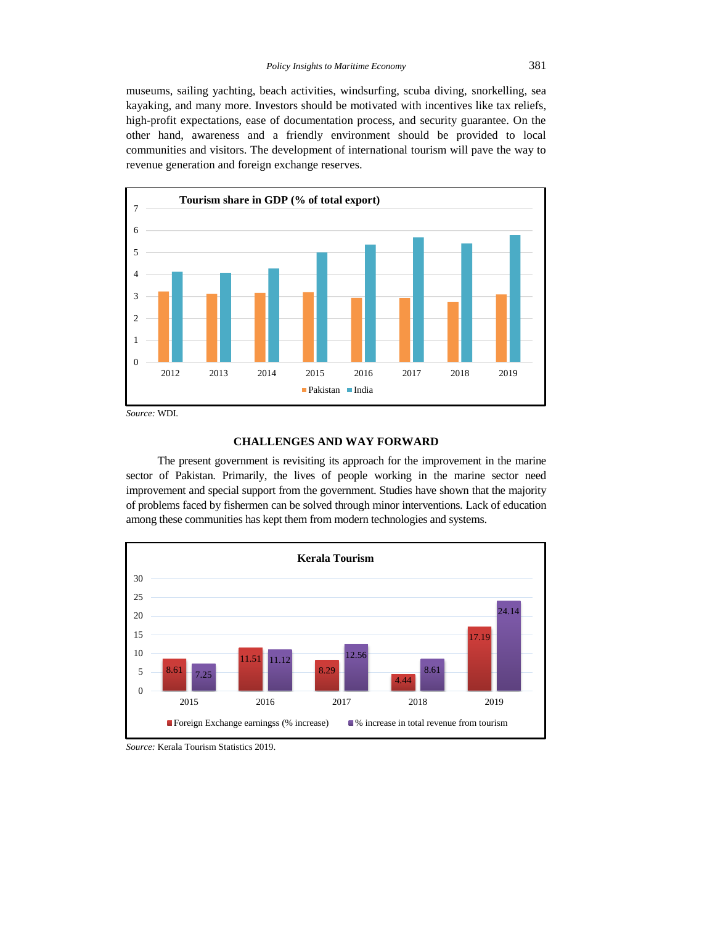museums, sailing yachting, beach activities, windsurfing, scuba diving, snorkelling, sea kayaking, and many more. Investors should be motivated with incentives like tax reliefs, high-profit expectations, ease of documentation process, and security guarantee. On the other hand, awareness and a friendly environment should be provided to local communities and visitors. The development of international tourism will pave the way to revenue generation and foreign exchange reserves.



#### **CHALLENGES AND WAY FORWARD**

The present government is revisiting its approach for the improvement in the marine sector of Pakistan. Primarily, the lives of people working in the marine sector need improvement and special support from the government. Studies have shown that the majority of problems faced by fishermen can be solved through minor interventions. Lack of education among these communities has kept them from modern technologies and systems.



*Source:* Kerala Tourism Statistics 2019.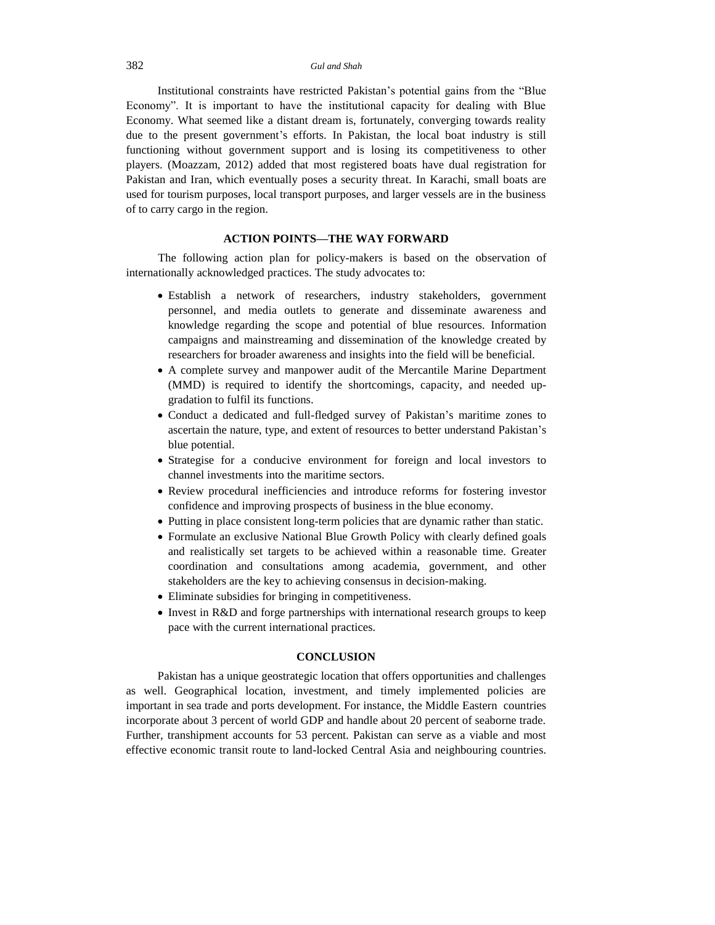#### 382 *Gul and Shah*

Institutional constraints have restricted Pakistan's potential gains from the "Blue Economy". It is important to have the institutional capacity for dealing with Blue Economy. What seemed like a distant dream is, fortunately, converging towards reality due to the present government's efforts. In Pakistan, the local boat industry is still functioning without government support and is losing its competitiveness to other players. (Moazzam, 2012) added that most registered boats have dual registration for Pakistan and Iran, which eventually poses a security threat. In Karachi, small boats are used for tourism purposes, local transport purposes, and larger vessels are in the business of to carry cargo in the region.

# **ACTION POINTS—THE WAY FORWARD**

The following action plan for policy-makers is based on the observation of internationally acknowledged practices. The study advocates to:

- Establish a network of researchers, industry stakeholders, government personnel, and media outlets to generate and disseminate awareness and knowledge regarding the scope and potential of blue resources. Information campaigns and mainstreaming and dissemination of the knowledge created by researchers for broader awareness and insights into the field will be beneficial.
- A complete survey and manpower audit of the Mercantile Marine Department (MMD) is required to identify the shortcomings, capacity, and needed upgradation to fulfil its functions.
- Conduct a dedicated and full-fledged survey of Pakistan's maritime zones to ascertain the nature, type, and extent of resources to better understand Pakistan's blue potential.
- Strategise for a conducive environment for foreign and local investors to channel investments into the maritime sectors.
- Review procedural inefficiencies and introduce reforms for fostering investor confidence and improving prospects of business in the blue economy.
- Putting in place consistent long-term policies that are dynamic rather than static.
- Formulate an exclusive National Blue Growth Policy with clearly defined goals and realistically set targets to be achieved within a reasonable time. Greater coordination and consultations among academia, government, and other stakeholders are the key to achieving consensus in decision-making.
- Eliminate subsidies for bringing in competitiveness.
- Invest in R&D and forge partnerships with international research groups to keep pace with the current international practices.

# **CONCLUSION**

Pakistan has a unique geostrategic location that offers opportunities and challenges as well. Geographical location, investment, and timely implemented policies are important in sea trade and ports development. For instance, the Middle Eastern countries incorporate about 3 percent of world GDP and handle about 20 percent of seaborne trade. Further, transhipment accounts for 53 percent. Pakistan can serve as a viable and most effective economic transit route to land-locked Central Asia and neighbouring countries.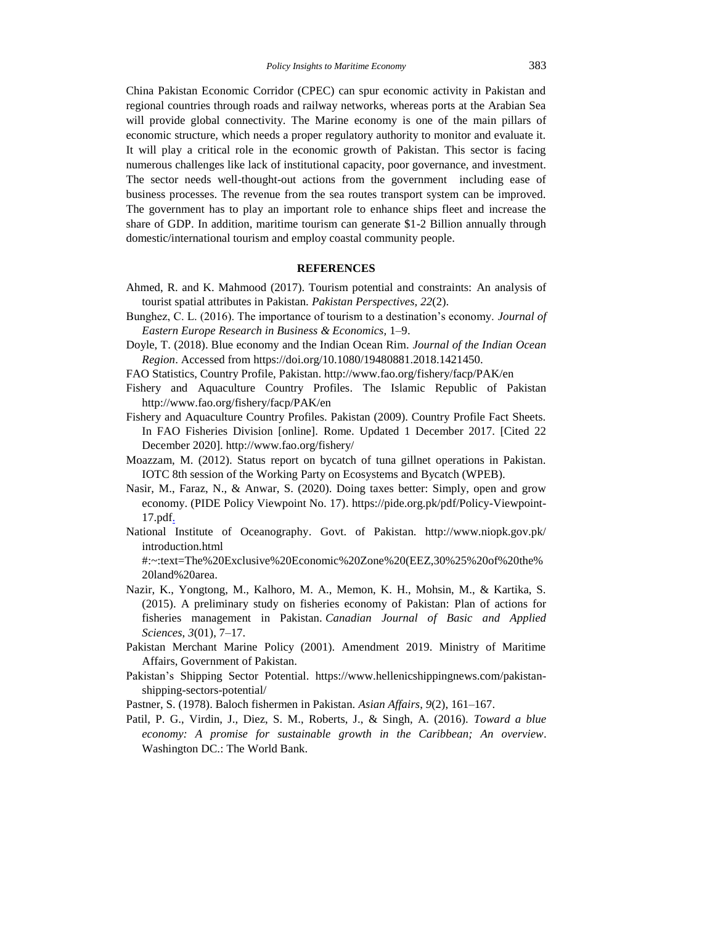China Pakistan Economic Corridor (CPEC) can spur economic activity in Pakistan and regional countries through roads and railway networks, whereas ports at the Arabian Sea will provide global connectivity. The Marine economy is one of the main pillars of economic structure, which needs a proper regulatory authority to monitor and evaluate it. It will play a critical role in the economic growth of Pakistan. This sector is facing numerous challenges like lack of institutional capacity, poor governance, and investment. The sector needs well-thought-out actions from the government including ease of business processes. The revenue from the sea routes transport system can be improved. The government has to play an important role to enhance ships fleet and increase the share of GDP. In addition, maritime tourism can generate \$1-2 Billion annually through domestic/international tourism and employ coastal community people.

# **REFERENCES**

- Ahmed, R. and K. Mahmood (2017). Tourism potential and constraints: An analysis of tourist spatial attributes in Pakistan. *Pakistan Perspectives, 22*(2).
- Bunghez, C. L. (2016). The importance of tourism to a destination's economy. *Journal of Eastern Europe Research in Business & Economics,* 1–9.
- Doyle, T. (2018). Blue economy and the Indian Ocean Rim. *Journal of the Indian Ocean Region*. Accessed from https://doi.org/10.1080/19480881.2018.1421450.
- FAO Statistics, Country Profile, Pakistan. http://www.fao.org/fishery/facp/PAK/en
- Fishery and Aquaculture Country Profiles. The Islamic Republic of Pakistan http://www.fao.org/fishery/facp/PAK/en
- Fishery and Aquaculture Country Profiles. Pakistan (2009). Country Profile Fact Sheets. In FAO Fisheries Division [online]. Rome. Updated 1 December 2017. [Cited 22 December 2020]. http://www.fao.org/fishery/
- Moazzam, M. (2012). Status report on bycatch of tuna gillnet operations in Pakistan. IOTC 8th session of the Working Party on Ecosystems and Bycatch (WPEB).
- Nasir, M., Faraz, N., & Anwar, S. (2020). Doing taxes better: Simply, open and grow economy. (PIDE Policy Viewpoint No. 17). https://pide.org.pk/pdf/Policy-Viewpoint-17.pdf.
- National Institute of Oceanography. Govt. of Pakistan. http://www.niopk.gov.pk/ introduction.html

#:~:text=The%20Exclusive%20Economic%20Zone%20(EEZ,30%25%20of%20the% 20land%20area.

- Nazir, K., Yongtong, M., Kalhoro, M. A., Memon, K. H., Mohsin, M., & Kartika, S. (2015). A preliminary study on fisheries economy of Pakistan: Plan of actions for fisheries management in Pakistan. *Canadian Journal of Basic and Applied Sciences*, *3*(01), 7–17.
- Pakistan Merchant Marine Policy (2001). Amendment 2019. Ministry of Maritime Affairs, Government of Pakistan.
- Pakistan's Shipping Sector Potential. https://www.hellenicshippingnews.com/pakistanshipping-sectors-potential/
- Pastner, S. (1978). Baloch fishermen in Pakistan. *Asian Affairs*, *9*(2), 161–167.
- Patil, P. G., Virdin, J., Diez, S. M., Roberts, J., & Singh, A. (2016). *Toward a blue economy: A promise for sustainable growth in the Caribbean; An overview*. Washington DC.: The World Bank.